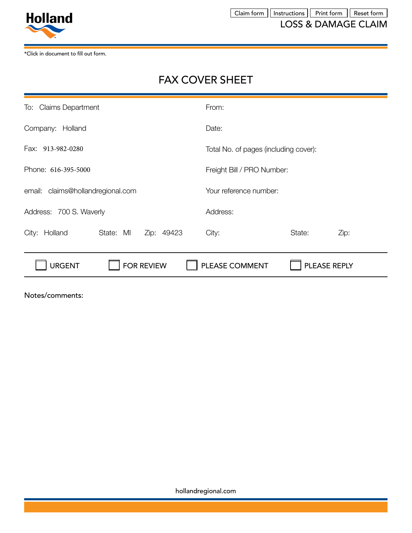

\*Click in document to fill out form.

# FAX COVER SHEET

| To: Claims Department                    | From:                                 |
|------------------------------------------|---------------------------------------|
| Company:<br>Holland                      | Date:                                 |
| Fax: 913-982-0280                        | Total No. of pages (including cover): |
| Phone: 616-395-5000                      | Freight Bill / PRO Number:            |
| claims@hollandregional.com<br>email:     | Your reference number:                |
| Address: 700 S. Waverly                  | Address:                              |
| State: MI<br>Zip: 49423<br>City: Holland | City:<br>State:<br>Zip:               |
| <b>URGENT</b><br><b>FOR REVIEW</b>       | PLEASE COMMENT<br>PLEASE REPLY        |
|                                          |                                       |

Notes/comments:

hollandregional.com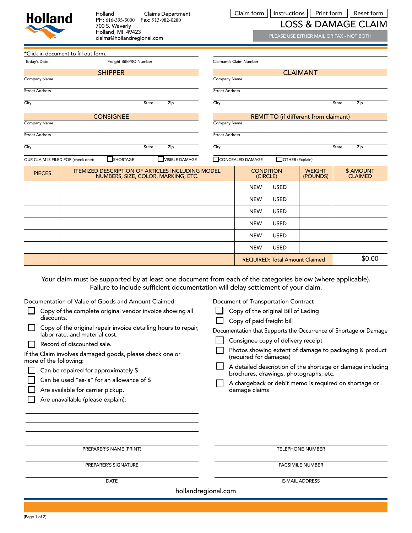| <b>Holland</b>                      | Holland<br>700 S. Waverly<br>Holland, MI 49423<br>claims@hollandregional.com                                                                                                                                                                           | <b>Claims Department</b><br>PH: 616-395-5000  Fax: 913-982-0280                  |                       | Claim form                                                                                                                                    | Instructions                          | Print form<br><b>LOSS &amp; DAMAGE CLAIM</b><br>PLEASE USE EITHER MAIL OR FAX - NOT BOTH |                             | Reset form |
|-------------------------------------|--------------------------------------------------------------------------------------------------------------------------------------------------------------------------------------------------------------------------------------------------------|----------------------------------------------------------------------------------|-----------------------|-----------------------------------------------------------------------------------------------------------------------------------------------|---------------------------------------|------------------------------------------------------------------------------------------|-----------------------------|------------|
|                                     | *Click in document to fill out form.                                                                                                                                                                                                                   |                                                                                  |                       |                                                                                                                                               |                                       |                                                                                          |                             |            |
| Today's Date:                       | Freight Bill/PRO Number                                                                                                                                                                                                                                |                                                                                  |                       | Claimant's Claim Number                                                                                                                       |                                       |                                                                                          |                             |            |
|                                     | <b>SHIPPER</b>                                                                                                                                                                                                                                         |                                                                                  |                       |                                                                                                                                               |                                       | <b>CLAIMANT</b>                                                                          |                             |            |
| Company Name                        |                                                                                                                                                                                                                                                        |                                                                                  | <b>Company Name</b>   |                                                                                                                                               |                                       |                                                                                          |                             |            |
| <b>Street Address</b>               |                                                                                                                                                                                                                                                        |                                                                                  | <b>Street Address</b> |                                                                                                                                               |                                       |                                                                                          |                             |            |
| City                                |                                                                                                                                                                                                                                                        | State<br>Zip                                                                     | City                  |                                                                                                                                               |                                       |                                                                                          | State<br>Zip                |            |
|                                     | <b>CONSIGNEE</b>                                                                                                                                                                                                                                       |                                                                                  |                       |                                                                                                                                               |                                       | REMIT TO (if different from claimant)                                                    |                             |            |
| Company Name                        |                                                                                                                                                                                                                                                        |                                                                                  | Company Name          |                                                                                                                                               |                                       |                                                                                          |                             |            |
| <b>Street Address</b>               |                                                                                                                                                                                                                                                        |                                                                                  | <b>Street Address</b> |                                                                                                                                               |                                       |                                                                                          |                             |            |
| City                                |                                                                                                                                                                                                                                                        | State<br>Zip                                                                     | City                  |                                                                                                                                               |                                       |                                                                                          | State<br>Zip                |            |
| OUR CLAIM IS FILED FOR (check one): | SHORTAGE                                                                                                                                                                                                                                               | <b>VISIBLE DAMAGE</b>                                                            |                       | CONCEALED DAMAGE                                                                                                                              | OTHER (Explain)                       |                                                                                          |                             |            |
| <b>PIECES</b>                       | <b>ITEMIZED DESCRIPTION OF ARTICLES INCLUDING MODEL</b>                                                                                                                                                                                                | NUMBERS, SIZE, COLOR, MARKING, ETC.                                              |                       | <b>CONDITION</b><br>(CIRCLE)                                                                                                                  |                                       | <b>WEIGHT</b><br>(POUNDS)                                                                | \$ AMOUNT<br><b>CLAIMED</b> |            |
|                                     |                                                                                                                                                                                                                                                        |                                                                                  |                       | <b>NEW</b>                                                                                                                                    | <b>USED</b>                           |                                                                                          |                             |            |
|                                     |                                                                                                                                                                                                                                                        |                                                                                  |                       | <b>NEW</b>                                                                                                                                    | <b>USED</b>                           |                                                                                          |                             |            |
|                                     |                                                                                                                                                                                                                                                        |                                                                                  |                       | <b>NEW</b>                                                                                                                                    | <b>USED</b>                           |                                                                                          |                             |            |
|                                     |                                                                                                                                                                                                                                                        |                                                                                  |                       | <b>NEW</b>                                                                                                                                    | <b>USED</b>                           |                                                                                          |                             |            |
|                                     |                                                                                                                                                                                                                                                        |                                                                                  |                       | <b>NEW</b>                                                                                                                                    | <b>USED</b>                           |                                                                                          |                             |            |
|                                     |                                                                                                                                                                                                                                                        |                                                                                  |                       | <b>NEW</b>                                                                                                                                    | <b>USED</b>                           |                                                                                          |                             |            |
|                                     |                                                                                                                                                                                                                                                        |                                                                                  |                       |                                                                                                                                               |                                       |                                                                                          |                             | \$0.00     |
|                                     | Your claim must be supported by at least one document from each of the categories below (where applicable).                                                                                                                                            | Failure to include sufficient documentation will delay settlement of your claim. |                       |                                                                                                                                               | <b>REQUIRED: Total Amount Claimed</b> |                                                                                          |                             |            |
| discounts.                          | Documentation of Value of Goods and Amount Claimed<br>Copy of the complete original vendor invoice showing all<br>Copy of the original repair invoice detailing hours to repair,<br>labor rate, and material cost.<br><b>Docard of discountad sale</b> |                                                                                  |                       | Document of Transportation Contract<br>Copy of the original Bill of Lading<br>Copy of paid freight bill<br>Consignee copy of delivery receipt |                                       | Documentation that Supports the Occurrence of Shortage or Damage                         |                             |            |

| $\Box$ record or discounted said.                        |
|----------------------------------------------------------|
| If the Claim involves damaged goods, please check one or |
| more of the following:                                   |

| $\Box$ Can be repaired for approximately \$ |  |
|---------------------------------------------|--|

|  |  |  | Can be used "as-is" for an allowance of \$ |
|--|--|--|--------------------------------------------|
|--|--|--|--------------------------------------------|

|  | $\Box$ Are available for carrier pickup. |  |  |
|--|------------------------------------------|--|--|
|--|------------------------------------------|--|--|

Are unavailable (please explain):

TELEPHONE NUMBER

(required for damages)

damage claims

 $\Box$ 

П

brochures, drawings, photographs, etc.

FACSIMILE NUMBER

Photos showing extent of damage to packaging & product

A detailed description of the shortage or damage including

A chargeback or debit memo is required on shortage or

PREPARER'S SIGNATURE **DATE** 

PREPARER'S NAME (PRINT)

E-MAIL ADDRESS

hollandregional.com